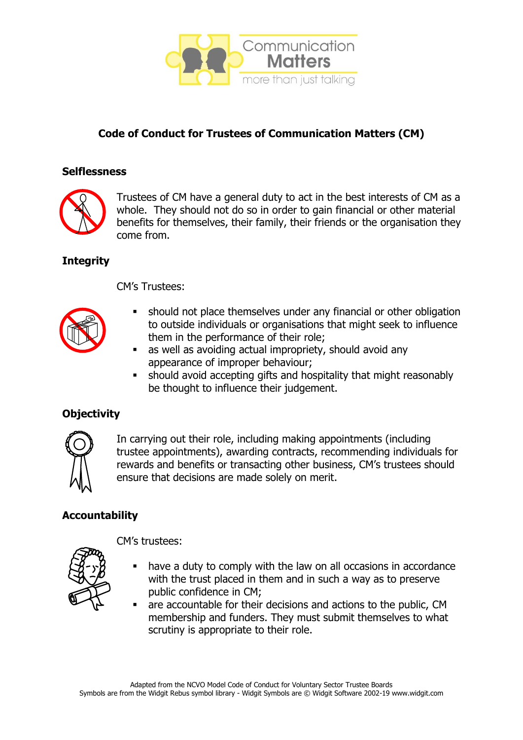

# **Code of Conduct for Trustees of Communication Matters (CM)**

#### **Selflessness**



Trustees of CM have a general duty to act in the best interests of CM as a whole. They should not do so in order to gain financial or other material benefits for themselves, their family, their friends or the organisation they come from.

## **Integrity**

CM's Trustees:



- should not place themselves under any financial or other obligation to outside individuals or organisations that might seek to influence them in the performance of their role;
- as well as avoiding actual impropriety, should avoid any appearance of improper behaviour;
- **EXEDENT** should avoid accepting gifts and hospitality that might reasonably be thought to influence their judgement.

# **Objectivity**



In carrying out their role, including making appointments (including trustee appointments), awarding contracts, recommending individuals for rewards and benefits or transacting other business, CM's trustees should ensure that decisions are made solely on merit.

# **Accountability**



CM's trustees:

- have a duty to comply with the law on all occasions in accordance with the trust placed in them and in such a way as to preserve public confidence in CM;
- are accountable for their decisions and actions to the public, CM membership and funders. They must submit themselves to what scrutiny is appropriate to their role.